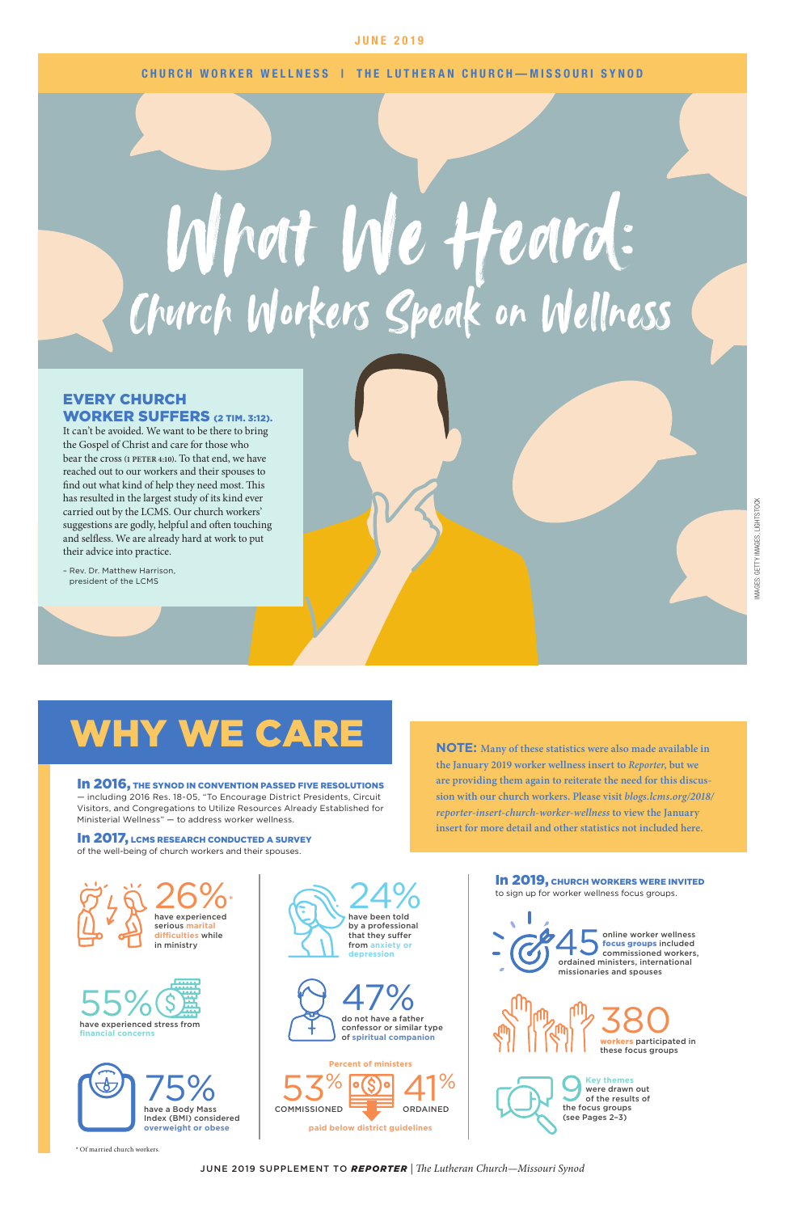

JUNE 2019 SUPPLEMENT TO *REPORTER* | *The Lutheran Church—Missouri Synod*

CHURCH WORKER WELLNESS | THE LUTHERAN CHURCH—MISSOURI SYNOD

In 2017, LCMS RESEARCH CONDUCTED A SURVEY of the well-being of church workers and their spouses.

#### EVERY CHURCH WORKER SUFFERS (2 TIM. 3:12).

In 2016, THE SYNOD IN CONVENTION PASSED FIVE RESOLUTIONS — including 2016 Res. 18-05, "To Encourage District Presidents, Circuit Visitors, and Congregations to Utilize Resources Already Established for Ministerial Wellness" — to address worker wellness.

It can't be avoided. We want to be there to bring the Gospel of Christ and care for those who bear the cross **(1 PETER 4:10)**. To that end, we have reached out to our workers and their spouses to find out what kind of help they need most. This has resulted in the largest study of its kind ever carried out by the LCMS. Our church workers' suggestions are godly, helpful and often touching and selfless. We are already hard at work to put their advice into practice.

– Rev. Dr. Matthew Harrison, president of the LCMS

> have been told by a professional that they suffer from **anxiety or depression**









to sign up for worker wellness focus groups. online worker wellness focus groups included commissioned workers, ordained ministers, international missionaries and spouses workers participated in these focus groups 380 **Key themes**  were drawn out of the results of

**NOTE: Many of these statistics were also made available in the January 2019 worker wellness insert to** *Reporter***, but we are providing them again to reiterate the need for this discussion with our church workers. Please visit** *[blogs.lcms.org/2018/](http://blogs.lcms.org/2018/reporter-insert-church-worker-wellness) [reporter-insert-church-worker-wellness](http://blogs.lcms.org/2018/reporter-insert-church-worker-wellness)* **to view the January insert for more detail and other statistics not included here.** 

In 2019, CHURCH WORKERS WERE INVITED

 $25 \times 260$ 







\* Of married church workers.

## WHY WE CARE

the focus groups (see Pages 2–3)

# What We Heard: Church Workers Speak on Wellness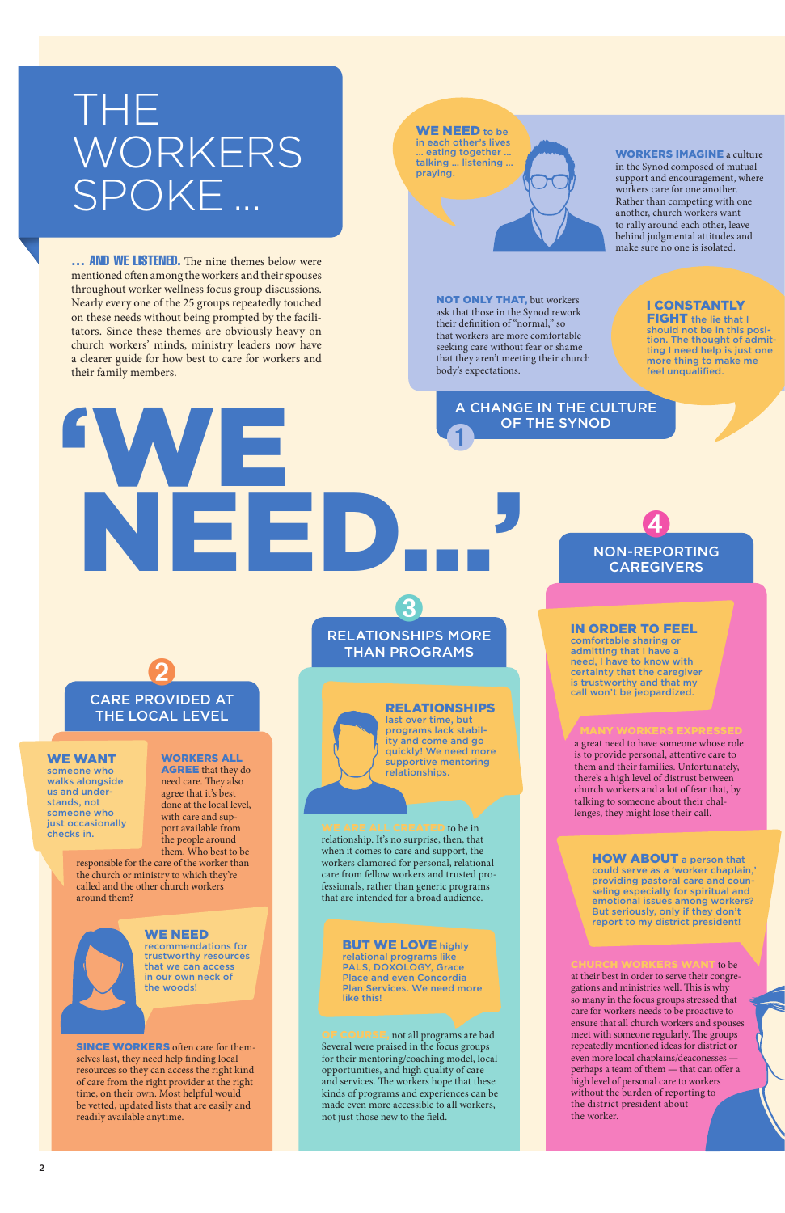... **AND WE LISTENED.** The nine themes below were mentioned often among the workers and their spouses throughout worker wellness focus group discussions. Nearly every one of the 25 groups repeatedly touched on these needs without being prompted by the facilitators. Since these themes are obviously heavy on church workers' minds, ministry leaders now have a clearer guide for how best to care for workers and their family members.

> relationship. It's no surprise, then, that when it comes to care and support, the workers clamored for personal, relational care from fellow workers and trusted professionals, rather than generic programs

**COURSE**, not all programs are bad. Several were praised in the focus groups for their mentoring/coaching model, local opportunities, and high quality of care and services. The workers hope that these kinds of programs and experiences can be made even more accessible to all workers, not just those new to the field.

that are intended for a broad audience.

#### **BUT WE LOVE highly**

a great need to have someone whose role is to provide personal, attentive care to them and their families. Unfortunately, there's a high level of distrust between church workers and a lot of fear that, by talking to someone about their challenges, they might lose their call.

to be at their best in order to serve their congregations and ministries well. This is why so many in the focus groups stressed that care for workers needs to be proactive to ensure that all church workers and spouses meet with someone regularly. The groups repeatedly mentioned ideas for district or even more local chaplains/deaconesses perhaps a team of them — that can offer a high level of personal care to workers without the burden of reporting to the district president about the worker.

**HOW ABOUT** a person that could serve as a 'worker chaplain,' providing pastoral care and counseling especially for spiritual and emotional issues among workers? But seriously, only if they don't report to my district president!

NON-REPORTING **CAREGIVERS** 

4

#### RELATIONSHIPS

last over time, but programs lack stability and come and go quickly! We need more supportive mentoring relationships.

#### $\mathsf{TED}$  to be in

relational programs like PALS, DOXOLOGY, Grace Place and even Concordia Plan Services. We need more like this!

IN ORDER TO FEEL

FIGHT the lie that I should not be in this position. The thought of admitting I need help is just one more thing to make me feel unqualified.

comfortable sharing or admitting that I have a need, I have to know with certainty that the caregiver is trustworthy and that my call won't be jeopardized.

# THE WORKERS SPOKE ...

WORKERS ALL AGREE that they do need care. They also agree that it's best done at the local level, with care and support available from the people around them. Who best to be

responsible for the care of the worker than the church or ministry to which they're called and the other church workers

#### around them?



SINCE WORKERS often care for themselves last, they need help finding local resources so they can access the right kind of care from the right provider at the right time, on their own. Most helpful would be vetted, updated lists that are easily and readily available anytime.

# 'WE  $\blacksquare$ ➌ ➊

#### WE WANT

someone who walks alongside us and understands, not someone who just occasionally checks in.

#### WE NEED

recommendations for trustworthy resources that we can access in our own neck of the woods!

RELATIONSHIPS MORE THAN PROGRAMS

### CARE PROVIDED AT THE LOCAL LEVEL ➋

A CHANGE IN THE CULTURE OF THE SYNOD

WORKERS IMAGINE a culture in the Synod composed of mutual support and encouragement, where workers care for one another. Rather than competing with one another, church workers want to rally around each other, leave behind judgmental attitudes and make sure no one is isolated.

NOT ONLY THAT, but workers ask that those in the Synod rework their definition of "normal," so that workers are more comfortable seeking care without fear or shame that they aren't meeting their church body's expectations.

WE NEED to be in each other's lives … eating together … talking … listening … praying.



#### I CONSTANTLY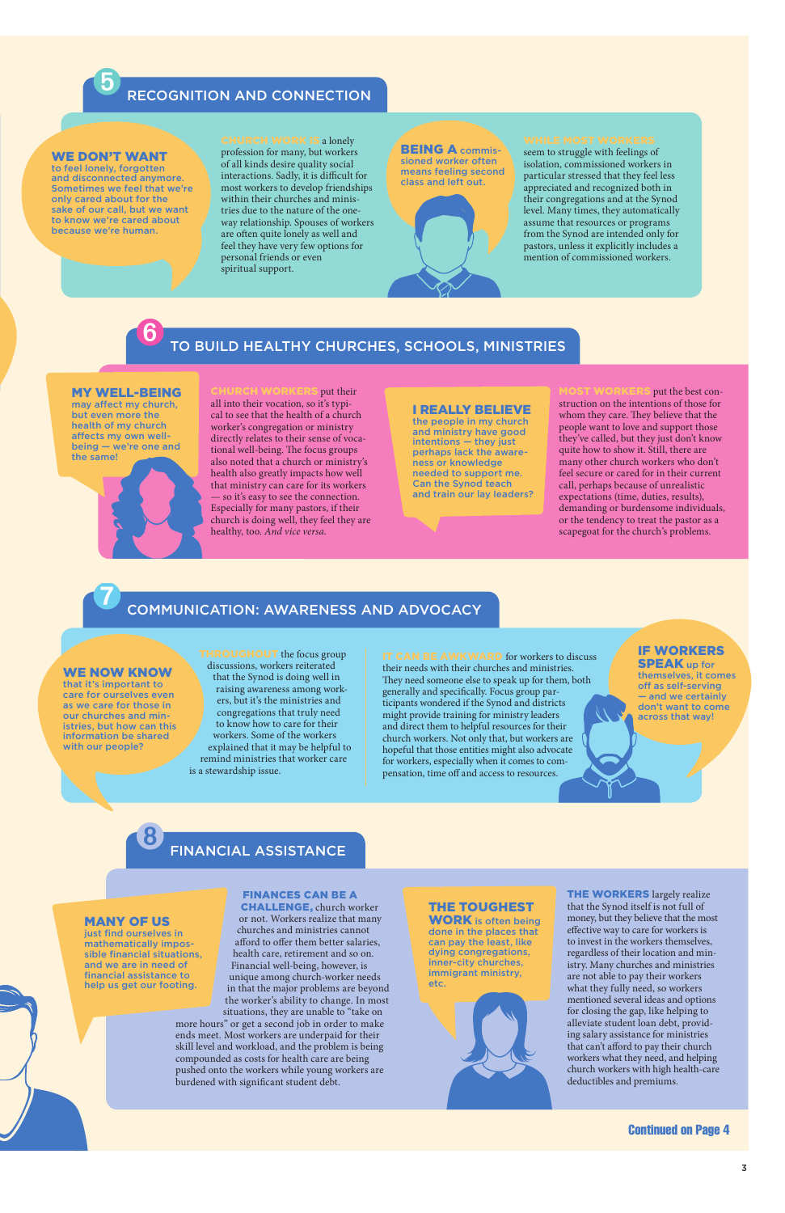Continued on Page 4

FINANCIAL ASSISTANCE ➑

### TO BUILD HEALTHY CHURCHES, SCHOOLS, MINISTRIES ➏

### COMMUNICATION: AWARENESS AND ADVOCACY ➐

#### RECOGNITION AND CONNECTION ➎

**RCH WORK IS a lonely** profession for many, but workers of all kinds desire quality social interactions. Sadly, it is difficult for most workers to develop friendships within their churches and ministries due to the nature of the oneway relationship. Spouses of workers are often quite lonely as well and feel they have very few options for personal friends or even spiritual support.

#### **BEING A commis**sioned worker often means feeling second class and left out.



seem to struggle with feelings of isolation, commissioned workers in particular stressed that they feel less appreciated and recognized both in their congregations and at the Synod level. Many times, they automatically assume that resources or programs from the Synod are intended only for pastors, unless it explicitly includes a mention of commissioned workers.

put their all into their vocation, so it's typical to see that the health of a church worker's congregation or ministry directly relates to their sense of vocational well-being. The focus groups also noted that a church or ministry's health also greatly impacts how well that ministry can care for its workers — so it's easy to see the connection. Especially for many pastors, if their church is doing well, they feel they are healthy, too. *And vice versa.*

#### WE DON'T WANT

to feel lonely, forgotten and disconnected anymore. Sometimes we feel that we're only cared about for the sake of our call, but we want to know we're cared about because we're human.

> put the best construction on the intentions of those for whom they care. They believe that the people want to love and support those they've called, but they just don't know quite how to show it. Still, there are many other church workers who don't feel secure or cared for in their current call, perhaps because of unrealistic expectations (time, duties, results), demanding or burdensome individuals, or the tendency to treat the pastor as a scapegoat for the church's problems.

**ROUGHOUT** the focus group discussions, workers reiterated that the Synod is doing well in raising awareness among workers, but it's the ministries and congregations that truly need to know how to care for their workers. Some of the workers explained that it may be helpful to remind ministries that worker care is a stewardship issue.

#### IF WORKERS **SPEAK** up for

#### MY WELL-BEING

may affect my church, but even more the health of my church affects my own wellbeing — we're one and the same!



#### I REALLY BELIEVE

the people in my church and ministry have good intentions — they just perhaps lack the awareness or knowledge needed to support me. Can the Synod teach and train our lay leaders?

> **THE WORKERS** largely realize that the Synod itself is not full of money, but they believe that the most effective way to care for workers is to invest in the workers themselves, regardless of their location and ministry. Many churches and ministries are not able to pay their workers what they fully need, so workers mentioned several ideas and options for closing the gap, like helping to alleviate student loan debt, providing salary assistance for ministries that can't afford to pay their church workers what they need, and helping church workers with high health-care deductibles and premiums.

IT CAN BE AWKWARD for workers to discuss their needs with their churches and ministries. They need someone else to speak up for them, both generally and specifically. Focus group participants wondered if the Synod and districts might provide training for ministry leaders and direct them to helpful resources for their church workers. Not only that, but workers are hopeful that those entities might also advocate for workers, especially when it comes to compensation, time off and access to resources.

themselves, it comes off as self-serving — and we certainly don't want to come across that way!

WE NOW KNOW

that it's important to care for ourselves even as we care for those in our churches and ministries, but how can this information be shared with our people?

#### FINANCES CAN BE A CHALLENGE, church worker

or not. Workers realize that many churches and ministries cannot afford to offer them better salaries, health care, retirement and so on. Financial well-being, however, is unique among church-worker needs in that the major problems are beyond the worker's ability to change. In most situations, they are unable to "take on

more hours" or get a second job in order to make ends meet. Most workers are underpaid for their skill level and workload, and the problem is being compounded as costs for health care are being pushed onto the workers while young workers are burdened with significant student debt.

#### THE TOUGHEST WORK is often being done in the places that can pay the least, like dying congregations, inner-city churches,

immigrant ministry,

etc.

#### MANY OF US

just find ourselves in mathematically impossible financial situations, and we are in need of financial assistance to help us get our footing.